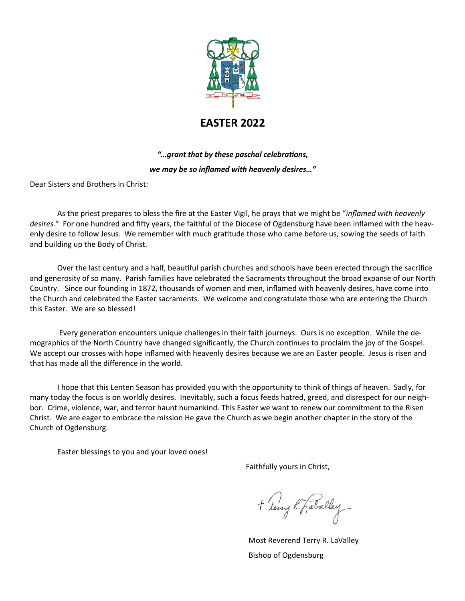

# **EASTER 2022**

# *"…grant that by these paschal celebrations, we may be so inflamed with heavenly desires…"*

Dear Sisters and Brothers in Christ:

As the priest prepares to bless the fire at the Easter Vigil, he prays that we might be "*inflamed with heavenly desires.*" For one hundred and fifty years, the faithful of the Diocese of Ogdensburg have been inflamed with the heavenly desire to follow Jesus. We remember with much gratitude those who came before us, sowing the seeds of faith and building up the Body of Christ.

Over the last century and a half, beautiful parish churches and schools have been erected through the sacrifice and generosity of so many. Parish families have celebrated the Sacraments throughout the broad expanse of our North Country. Since our founding in 1872, thousands of women and men, inflamed with heavenly desires, have come into the Church and celebrated the Easter sacraments. We welcome and congratulate those who are entering the Church this Easter. We are so blessed!

Every generation encounters unique challenges in their faith journeys. Ours is no exception. While the demographics of the North Country have changed significantly, the Church continues to proclaim the joy of the Gospel. We accept our crosses with hope inflamed with heavenly desires because we are an Easter people. Jesus is risen and that has made all the difference in the world.

I hope that this Lenten Season has provided you with the opportunity to think of things of heaven. Sadly, for many today the focus is on worldly desires. Inevitably, such a focus feeds hatred, greed, and disrespect for our neighbor. Crime, violence, war, and terror haunt humankind. This Easter we want to renew our commitment to the Risen Christ. We are eager to embrace the mission He gave the Church as we begin another chapter in the story of the Church of Ogdensburg.

Easter blessings to you and your loved ones!

Faithfully yours in Christ,

+ Leny R. Faballey

Most Reverend Terry R. LaValley Bishop of Ogdensburg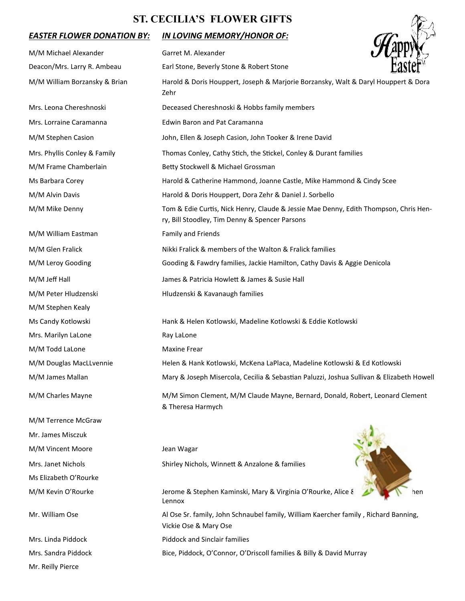## **ST. CECILIA'S FLOWER GIFTS**

### *EASTER FLOWER DONATION BY: IN LOVING MEMORY/HONOR OF:*

Mr. Reilly Pierce

| <b>ST. CECILIA'S FLOWER GIFTS</b> |                                                                                                                                        |  |
|-----------------------------------|----------------------------------------------------------------------------------------------------------------------------------------|--|
| <b>EASTER FLOWER DONATION BY:</b> | <u>IN LOVING MEMORY/HONOR OF:</u>                                                                                                      |  |
| M/M Michael Alexander             | Garret M. Alexander                                                                                                                    |  |
| Deacon/Mrs. Larry R. Ambeau       | Earl Stone, Beverly Stone & Robert Stone                                                                                               |  |
| M/M William Borzansky & Brian     | Harold & Doris Houppert, Joseph & Marjorie Borzansky, Walt & Daryl Houppert & Dora<br>Zehr                                             |  |
| Mrs. Leona Chereshnoski           | Deceased Chereshnoski & Hobbs family members                                                                                           |  |
| Mrs. Lorraine Caramanna           | <b>Edwin Baron and Pat Caramanna</b>                                                                                                   |  |
| M/M Stephen Casion                | John, Ellen & Joseph Casion, John Tooker & Irene David                                                                                 |  |
| Mrs. Phyllis Conley & Family      | Thomas Conley, Cathy Stich, the Stickel, Conley & Durant families                                                                      |  |
| M/M Frame Chamberlain             | Betty Stockwell & Michael Grossman                                                                                                     |  |
| Ms Barbara Corey                  | Harold & Catherine Hammond, Joanne Castle, Mike Hammond & Cindy Scee                                                                   |  |
| M/M Alvin Davis                   | Harold & Doris Houppert, Dora Zehr & Daniel J. Sorbello                                                                                |  |
| M/M Mike Denny                    | Tom & Edie Curtis, Nick Henry, Claude & Jessie Mae Denny, Edith Thompson, Chris Hen-<br>ry, Bill Stoodley, Tim Denny & Spencer Parsons |  |
| M/M William Eastman               | <b>Family and Friends</b>                                                                                                              |  |
| M/M Glen Fralick                  | Nikki Fralick & members of the Walton & Fralick families                                                                               |  |
| M/M Leroy Gooding                 | Gooding & Fawdry families, Jackie Hamilton, Cathy Davis & Aggie Denicola                                                               |  |
| M/M Jeff Hall                     | James & Patricia Howlett & James & Susie Hall                                                                                          |  |
| M/M Peter Hludzenski              | Hludzenski & Kavanaugh families                                                                                                        |  |
| M/M Stephen Kealy                 |                                                                                                                                        |  |
| Ms Candy Kotlowski                | Hank & Helen Kotlowski, Madeline Kotlowski & Eddie Kotlowski                                                                           |  |
| Mrs. Marilyn LaLone               | Ray LaLone                                                                                                                             |  |
| M/M Todd LaLone                   | <b>Maxine Frear</b>                                                                                                                    |  |
| M/M Douglas MacLLvennie           | Helen & Hank Kotlowski, McKena LaPlaca, Madeline Kotlowski & Ed Kotlowski                                                              |  |
| M/M James Mallan                  | Mary & Joseph Misercola, Cecilia & Sebastian Paluzzi, Joshua Sullivan & Elizabeth Howell                                               |  |
| M/M Charles Mayne                 | M/M Simon Clement, M/M Claude Mayne, Bernard, Donald, Robert, Leonard Clement<br>& Theresa Harmych                                     |  |
| M/M Terrence McGraw               |                                                                                                                                        |  |
| Mr. James Misczuk                 |                                                                                                                                        |  |
| M/M Vincent Moore                 | Jean Wagar                                                                                                                             |  |
| Mrs. Janet Nichols                | Shirley Nichols, Winnett & Anzalone & families                                                                                         |  |
| Ms Elizabeth O'Rourke             |                                                                                                                                        |  |
| M/M Kevin O'Rourke                | Jerome & Stephen Kaminski, Mary & Virginia O'Rourke, Alice &<br>Lennox                                                                 |  |
| Mr. William Ose                   | Al Ose Sr. family, John Schnaubel family, William Kaercher family, Richard Banning,<br>Vickie Ose & Mary Ose                           |  |
| Mrs. Linda Piddock                | <b>Piddock and Sinclair families</b>                                                                                                   |  |
| Mrs. Sandra Piddock               | Bice, Piddock, O'Connor, O'Driscoll families & Billy & David Murray                                                                    |  |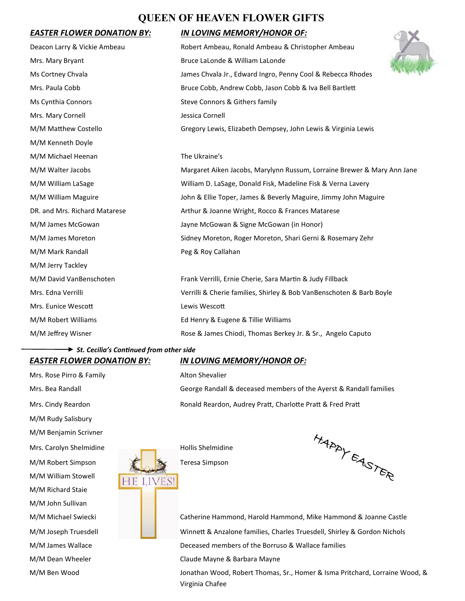## **QUEEN OF HEAVEN FLOWER GIFTS**

#### **EASTER FLOWER DONATION BY:**

| Deacon Larry & Vickie Ambeau  | Robert Ambeau, Ronald Ambeau & Christopher Ambeau                       |
|-------------------------------|-------------------------------------------------------------------------|
| Mrs. Mary Bryant              | Bruce LaLonde & William LaLonde                                         |
| Ms Cortney Chvala             | James Chvala Jr., Edward Ingro, Penny Cool & Rebecca Rhodes             |
| Mrs. Paula Cobb               | Bruce Cobb, Andrew Cobb, Jason Cobb & Iva Bell Bartlett                 |
| Ms Cynthia Connors            | Steve Connors & Githers family                                          |
| Mrs. Mary Cornell             | Jessica Cornell                                                         |
| M/M Matthew Costello          | Gregory Lewis, Elizabeth Dempsey, John Lewis & Virginia Lewis           |
| M/M Kenneth Doyle             |                                                                         |
| M/M Michael Heenan            | The Ukraine's                                                           |
| M/M Walter Jacobs             | Margaret Aiken Jacobs, Marylynn Russum, Lorraine Brewer & Mary Ann Jane |
| M/M William LaSage            | William D. LaSage, Donald Fisk, Madeline Fisk & Verna Lavery            |
| M/M William Maguire           | John & Ellie Toper, James & Beverly Maguire, Jimmy John Maguire         |
| DR. and Mrs. Richard Matarese | Arthur & Joanne Wright, Rocco & Frances Matarese                        |
| M/M James McGowan             | Jayne McGowan & Signe McGowan (in Honor)                                |
| M/M James Moreton             | Sidney Moreton, Roger Moreton, Shari Gerni & Rosemary Zehr              |
| M/M Mark Randall              | Peg & Roy Callahan                                                      |
| M/M Jerry Tackley             |                                                                         |
| M/M David VanBenschoten       | Frank Verrilli, Ernie Cherie, Sara Martin & Judy Fillback               |
| Mrs. Edna Verrilli            | Verrilli & Cherie families, Shirley & Bob VanBenschoten & Barb Boyle    |
| Mrs. Eunice Wescott           | Lewis Wescott                                                           |
| M/M Robert Williams           | Ed Henry & Eugene & Tillie Williams                                     |
| M/M Jeffrey Wisner            | Rose & James Chiodi, Thomas Berkey Jr. & Sr., Angelo Caputo             |
|                               |                                                                         |

# *St. Cecilia's Continued from other side*

Mrs. Rose Pirro & Family Mrs. Rose Pirro & Family M/M Rudy Salisbury M/M Benjamin Scrivner Mrs. Carolyn Shelmidine **Hollis Shelmidine** M/M Robert Simpson **Teresa Simpson** M/M William Stowell HE LIVES! M/M Richard Staie M/M John Sullivan M/M Dean Wheeler **Claude Mayne & Barbara Mayne** 

#### *EASTER FLOWER DONATION BY: IN LOVING MEMORY/HONOR OF:*

Mrs. Bea Randall George Randall & deceased members of the Ayerst & Randall families Mrs. Cindy Reardon **Ronald Reardon, Audrey Pratt, Charlotte Pratt & Fred Pratt** 



M/M Michael Swiecki **Catherine Hammond, Harold Hammond, Mike Hammond & Joanne Castle** M/M Joseph Truesdell **Winnett & Anzalone families, Charles Truesdell, Shirley & Gordon Nichols** M/M James Wallace **Deceased members of the Borruso & Wallace families** 

M/M Ben Wood Jonathan Wood, Robert Thomas, Sr., Homer & Isma Pritchard, Lorraine Wood, & Virginia Chafee